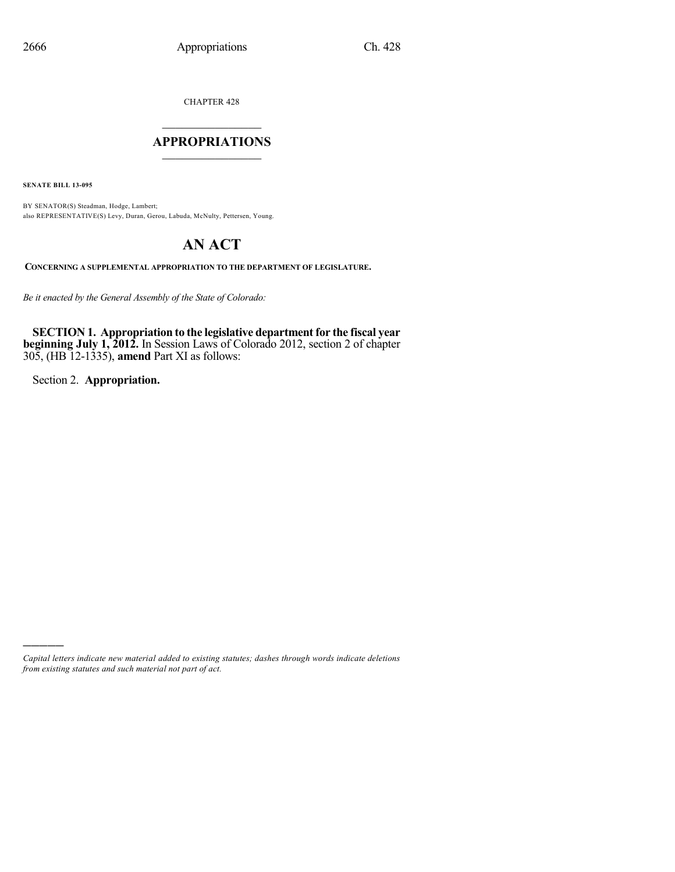CHAPTER 428

### $\mathcal{L}_\text{max}$  . The set of the set of the set of the set of the set of the set of the set of the set of the set of the set of the set of the set of the set of the set of the set of the set of the set of the set of the set **APPROPRIATIONS**  $\_$   $\_$   $\_$   $\_$   $\_$   $\_$   $\_$   $\_$

**SENATE BILL 13-095**

BY SENATOR(S) Steadman, Hodge, Lambert; also REPRESENTATIVE(S) Levy, Duran, Gerou, Labuda, McNulty, Pettersen, Young.

# **AN ACT**

**CONCERNING A SUPPLEMENTAL APPROPRIATION TO THE DEPARTMENT OF LEGISLATURE.**

*Be it enacted by the General Assembly of the State of Colorado:*

**SECTION 1. Appropriation to the legislative departmentfor the fiscal year beginning July 1, 2012.** In Session Laws of Colorado 2012, section 2 of chapter 305, (HB 12-1335), **amend** Part XI as follows:

Section 2. **Appropriation.**

)))))

*Capital letters indicate new material added to existing statutes; dashes through words indicate deletions from existing statutes and such material not part of act.*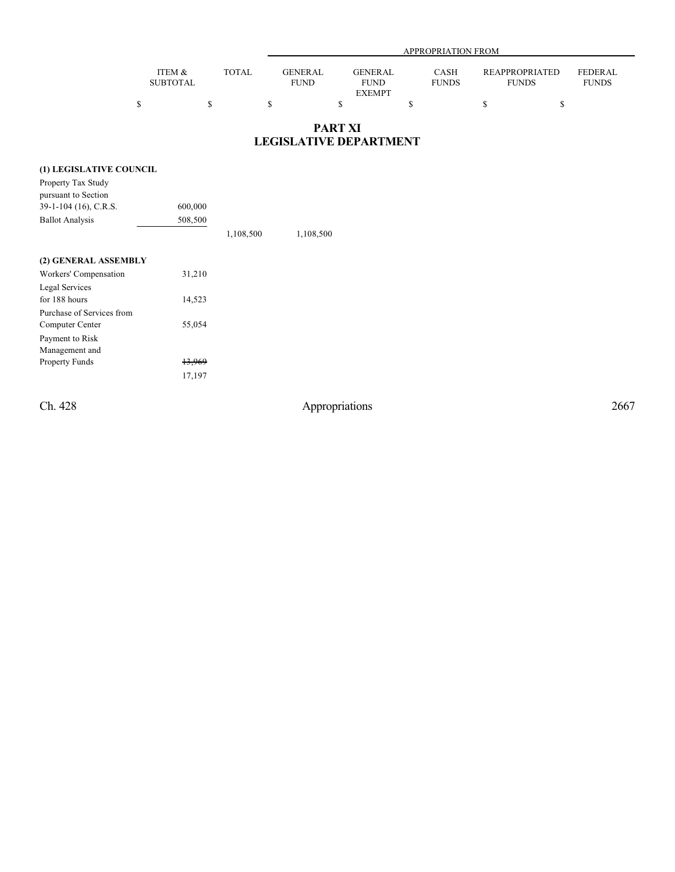|                           |       |                        | APPROPRIATION FROM            |                             |                                |                         |  |  |  |  |
|---------------------------|-------|------------------------|-------------------------------|-----------------------------|--------------------------------|-------------------------|--|--|--|--|
| ITEM &<br><b>SUBTOTAL</b> | TOTAL | GENERAL<br><b>FUND</b> | <b>GENERAL</b><br><b>FUND</b> | <b>CASH</b><br><b>FUNDS</b> | REAPPROPRIATED<br><b>FUNDS</b> | FEDERAL<br><b>FUNDS</b> |  |  |  |  |
|                           |       |                        | <b>EXEMPT</b>                 |                             |                                |                         |  |  |  |  |

#### **PART XI LEGISLATIVE DEPARTMENT**

#### **(1) LEGISLATIVE COUNCIL**

| Property Tax Study      |         |           |           |
|-------------------------|---------|-----------|-----------|
| pursuant to Section     |         |           |           |
| $39-1-104$ (16), C.R.S. | 600,000 |           |           |
| <b>Ballot Analysis</b>  | 508,500 |           |           |
|                         |         | 1,108,500 | 1,108,500 |
| (2) GENERAL ASSEMBLY    |         |           |           |

| Workers' Compensation     | 31,210 |
|---------------------------|--------|
| Legal Services            |        |
| for 188 hours             | 14,523 |
| Purchase of Services from |        |
| Computer Center           | 55,054 |
| Payment to Risk           |        |
| Management and            |        |
| <b>Property Funds</b>     | 13.969 |
|                           | 17,197 |

Ch. 428 Appropriations 2667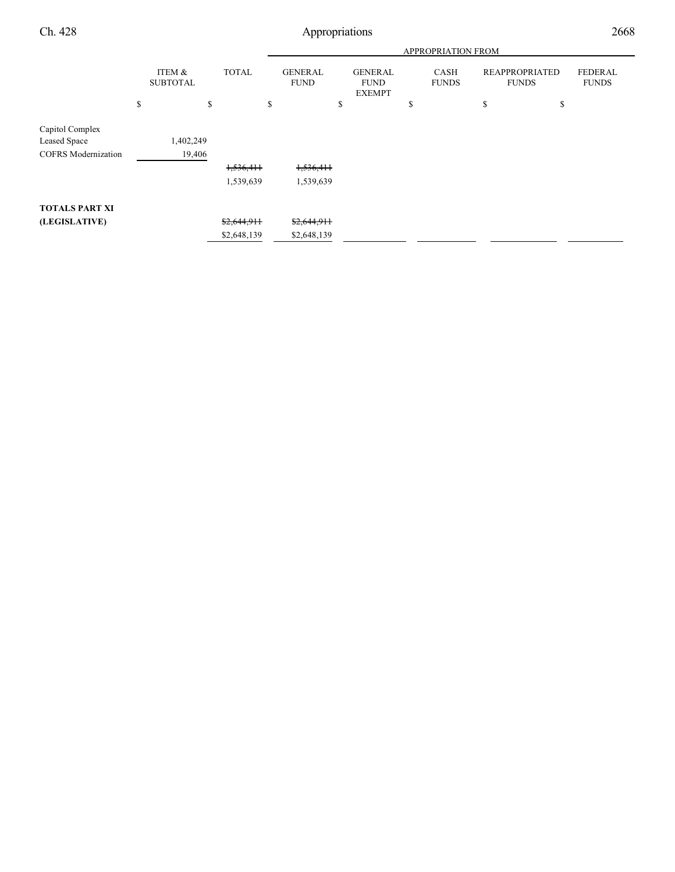Ch. 428 Appropriations 2668

|                            |           |                           |              |    | <b>APPROPRIATION FROM</b>     |    |                                                |    |                      |                                       |    |                                |
|----------------------------|-----------|---------------------------|--------------|----|-------------------------------|----|------------------------------------------------|----|----------------------|---------------------------------------|----|--------------------------------|
|                            |           | ITEM &<br><b>SUBTOTAL</b> | <b>TOTAL</b> |    | <b>GENERAL</b><br><b>FUND</b> |    | <b>GENERAL</b><br><b>FUND</b><br><b>EXEMPT</b> |    | CASH<br><b>FUNDS</b> | <b>REAPPROPRIATED</b><br><b>FUNDS</b> |    | <b>FEDERAL</b><br><b>FUNDS</b> |
|                            | \$        | \$                        |              | \$ |                               | \$ |                                                | \$ |                      | \$                                    | \$ |                                |
| Capitol Complex            |           |                           |              |    |                               |    |                                                |    |                      |                                       |    |                                |
| Leased Space               | 1,402,249 |                           |              |    |                               |    |                                                |    |                      |                                       |    |                                |
| <b>COFRS</b> Modernization |           | 19,406                    |              |    |                               |    |                                                |    |                      |                                       |    |                                |
|                            |           |                           | 1,536,411    |    | 1,536,411                     |    |                                                |    |                      |                                       |    |                                |
|                            |           |                           | 1,539,639    |    | 1,539,639                     |    |                                                |    |                      |                                       |    |                                |
| <b>TOTALS PART XI</b>      |           |                           |              |    |                               |    |                                                |    |                      |                                       |    |                                |
| (LEGISLATIVE)              |           |                           | \$2,644,911  |    | \$2,644,911                   |    |                                                |    |                      |                                       |    |                                |
|                            |           |                           | \$2,648,139  |    | \$2,648,139                   |    |                                                |    |                      |                                       |    |                                |